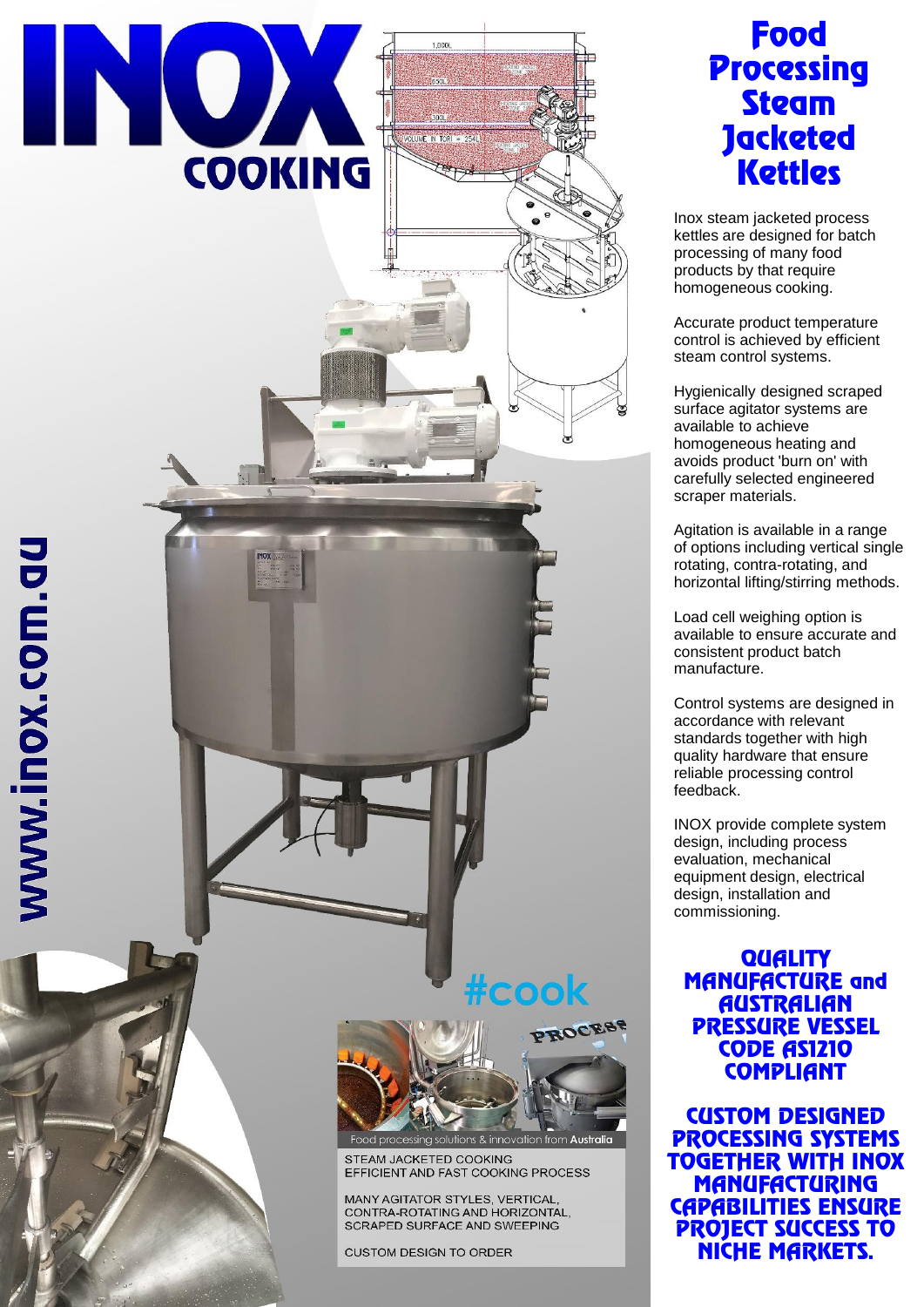

# Food **Processing Steam Jacketed Kettles**

Inox steam jacketed process kettles are designed for batch processing of many food products by that require homogeneous cooking.

Accurate product temperature control is achieved by efficient steam control systems.

Hygienically designed scraped surface agitator systems are available to achieve homogeneous heating and avoids product 'burn on' with carefully selected engineered scraper materials.

Agitation is available in a range of options including vertical single rotating, contra-rotating, and horizontal lifting/stirring methods.

Load cell weighing option is available to ensure accurate and consistent product batch manufacture.

Control systems are designed in accordance with relevant standards together with high quality hardware that ensure reliable processing control feedback.

INOX provide complete system design, including process evaluation, mechanical equipment design, electrical design, installation and commissioning.

**QUALITY** MANUFACTURE and **AUSTRALIAN** PRESSURE VESSEL CODE AS1210 **COMPLIANT** 

CUSTOM DESIGNED PROCESSING SYSTEMS TOGETHER WITH INOX **MANUFACTURING** CAPABILITIES ENSURE PROJECT SUCCESS TO NICHE MARKETS.